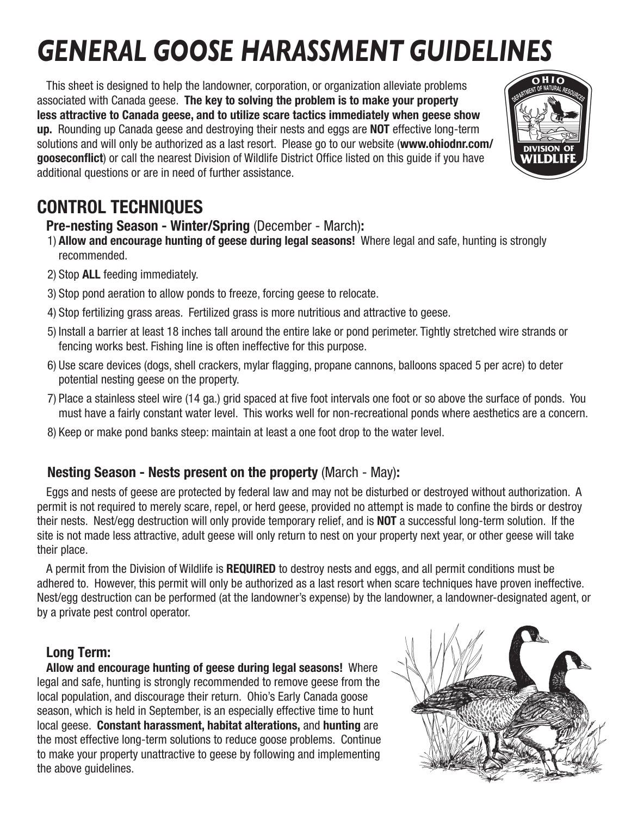# *GENERAL GOOSE HARASSMENT GUIDELINES*

This sheet is designed to help the landowner, corporation, or organization alleviate problems associated with Canada geese. **The key to solving the problem is to make your property less attractive to Canada geese, and to utilize scare tactics immediately when geese show up.** Rounding up Canada geese and destroying their nests and eggs are **NOT** effective long-term solutions and will only be authorized as a last resort. Please go to our website (**www.ohiodnr.com/ gooseconflict**) or call the nearest Division of Wildlife District Office listed on this guide if you have additional questions or are in need of further assistance.

## **CONTROL TECHNIQUES**

## **Pre-nesting Season - Winter/Spring** (December - March)**:**

- 1) **Allow and encourage hunting of geese during legal seasons!** Where legal and safe, hunting is strongly recommended.
- 2) Stop **ALL** feeding immediately.
- 3) Stop pond aeration to allow ponds to freeze, forcing geese to relocate.
- 4) Stop fertilizing grass areas. Fertilized grass is more nutritious and attractive to geese.
- 5) Install a barrier at least 18 inches tall around the entire lake or pond perimeter. Tightly stretched wire strands or fencing works best. Fishing line is often ineffective for this purpose.
- 6) Use scare devices (dogs, shell crackers, mylar flagging, propane cannons, balloons spaced 5 per acre) to deter potential nesting geese on the property.
- 7) Place a stainless steel wire (14 ga.) grid spaced at five foot intervals one foot or so above the surface of ponds. You must have a fairly constant water level. This works well for non-recreational ponds where aesthetics are a concern.
- 8) Keep or make pond banks steep: maintain at least a one foot drop to the water level.

## **Nesting Season - Nests present on the property** (March - May)**:**

Eggs and nests of geese are protected by federal law and may not be disturbed or destroyed without authorization. A permit is not required to merely scare, repel, or herd geese, provided no attempt is made to confine the birds or destroy their nests. Nest/egg destruction will only provide temporary relief, and is **NOT** a successful long-term solution. If the site is not made less attractive, adult geese will only return to nest on your property next year, or other geese will take their place.

A permit from the Division of Wildlife is **REQUIRED** to destroy nests and eggs, and all permit conditions must be adhered to. However, this permit will only be authorized as a last resort when scare techniques have proven ineffective. Nest/egg destruction can be performed (at the landowner's expense) by the landowner, a landowner-designated agent, or by a private pest control operator.

## **Long Term:**

**Allow and encourage hunting of geese during legal seasons!** Where legal and safe, hunting is strongly recommended to remove geese from the local population, and discourage their return. Ohio's Early Canada goose season, which is held in September, is an especially effective time to hunt local geese. **Constant harassment, habitat alterations,** and **hunting** are the most effective long-term solutions to reduce goose problems. Continue to make your property unattractive to geese by following and implementing the above guidelines.